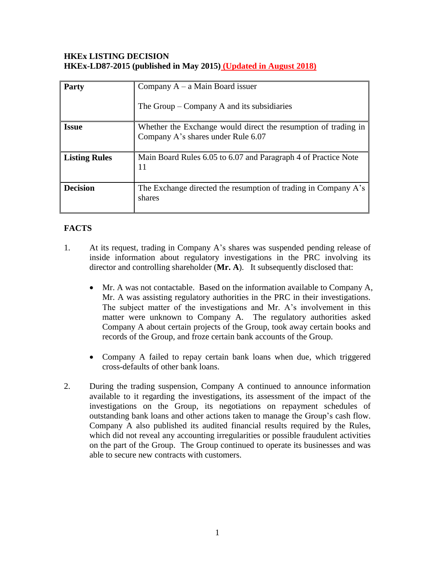### **HKEx LISTING DECISION HKEx-LD87-2015 (published in May 2015) (Updated in August 2018)**

| <b>Party</b>         | Company $A - a$ Main Board issuer                                                                    |
|----------------------|------------------------------------------------------------------------------------------------------|
|                      | The Group $-$ Company A and its subsidiaries                                                         |
| <b>Issue</b>         | Whether the Exchange would direct the resumption of trading in<br>Company A's shares under Rule 6.07 |
| <b>Listing Rules</b> | Main Board Rules 6.05 to 6.07 and Paragraph 4 of Practice Note<br>11                                 |
| <b>Decision</b>      | The Exchange directed the resumption of trading in Company A's<br>shares                             |

# **FACTS**

- 1. At its request, trading in Company A's shares was suspended pending release of inside information about regulatory investigations in the PRC involving its director and controlling shareholder (**Mr. A**). It subsequently disclosed that:
	- Mr. A was not contactable. Based on the information available to Company A, Mr. A was assisting regulatory authorities in the PRC in their investigations. The subject matter of the investigations and Mr. A's involvement in this matter were unknown to Company A. The regulatory authorities asked Company A about certain projects of the Group, took away certain books and records of the Group, and froze certain bank accounts of the Group.
	- Company A failed to repay certain bank loans when due, which triggered cross-defaults of other bank loans.
- 2. During the trading suspension, Company A continued to announce information available to it regarding the investigations, its assessment of the impact of the investigations on the Group, its negotiations on repayment schedules of outstanding bank loans and other actions taken to manage the Group's cash flow. Company A also published its audited financial results required by the Rules, which did not reveal any accounting irregularities or possible fraudulent activities on the part of the Group. The Group continued to operate its businesses and was able to secure new contracts with customers.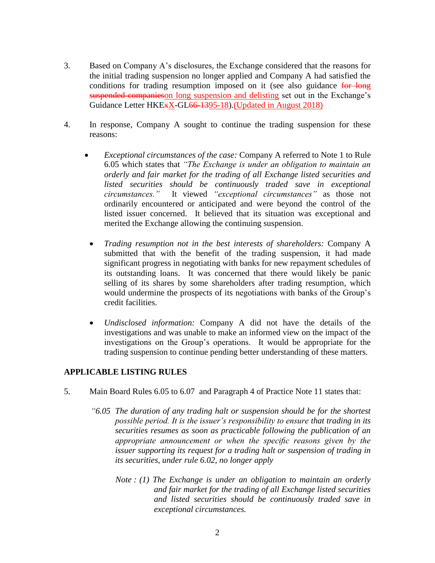- 3. Based on Company A's disclosures, the Exchange considered that the reasons for the initial trading suspension no longer applied and Company A had satisfied the conditions for trading resumption imposed on it (see also guidance for long suspended companieson long suspension and delisting set out in the Exchange's Guidance Letter HKE<sub>\*</sub>X-GL<del>66-13</del>95-18).(Updated in August 2018)
- 4. In response, Company A sought to continue the trading suspension for these reasons:
	- *Exceptional circumstances of the case:* Company A referred to Note 1 to Rule 6.05 which states that *"The Exchange is under an obligation to maintain an orderly and fair market for the trading of all Exchange listed securities and listed securities should be continuously traded save in exceptional circumstances."* It viewed *"exceptional circumstances"* as those not ordinarily encountered or anticipated and were beyond the control of the listed issuer concerned. It believed that its situation was exceptional and merited the Exchange allowing the continuing suspension.
		- *Trading resumption not in the best interests of shareholders:* Company A submitted that with the benefit of the trading suspension, it had made significant progress in negotiating with banks for new repayment schedules of its outstanding loans. It was concerned that there would likely be panic selling of its shares by some shareholders after trading resumption, which would undermine the prospects of its negotiations with banks of the Group's credit facilities.
		- *Undisclosed information:* Company A did not have the details of the investigations and was unable to make an informed view on the impact of the investigations on the Group's operations. It would be appropriate for the trading suspension to continue pending better understanding of these matters.

## **APPLICABLE LISTING RULES**

- 5. Main Board Rules 6.05 to 6.07 and Paragraph 4 of Practice Note 11 states that:
	- *"6.05 The duration of any trading halt or suspension should be for the shortest possible period. It is the issuer's responsibility to ensure that trading in its securities resumes as soon as practicable following the publication of an appropriate announcement or when the specific reasons given by the issuer supporting its request for a trading halt or suspension of trading in its securities, under rule 6.02, no longer apply*
		- *Note : (1) The Exchange is under an obligation to maintain an orderly and fair market for the trading of all Exchange listed securities and listed securities should be continuously traded save in exceptional circumstances.*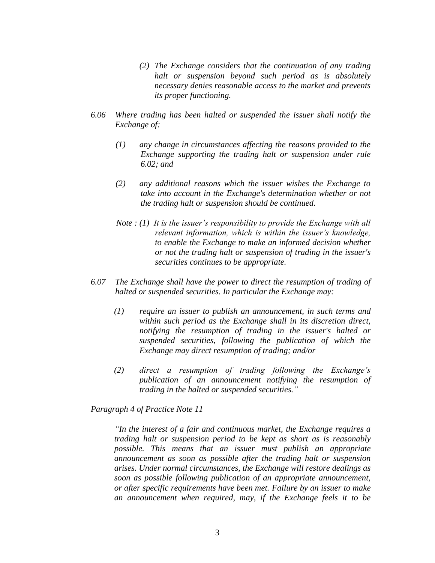- *(2) The Exchange considers that the continuation of any trading halt or suspension beyond such period as is absolutely necessary denies reasonable access to the market and prevents its proper functioning.*
- *6.06 Where trading has been halted or suspended the issuer shall notify the Exchange of:*
	- *(1) any change in circumstances affecting the reasons provided to the Exchange supporting the trading halt or suspension under rule 6.02; and*
	- *(2) any additional reasons which the issuer wishes the Exchange to take into account in the Exchange's determination whether or not the trading halt or suspension should be continued.*
	- *Note : (1) It is the issuer's responsibility to provide the Exchange with all relevant information, which is within the issuer's knowledge, to enable the Exchange to make an informed decision whether or not the trading halt or suspension of trading in the issuer's securities continues to be appropriate.*
- *6.07 The Exchange shall have the power to direct the resumption of trading of halted or suspended securities. In particular the Exchange may:*
	- *(1) require an issuer to publish an announcement, in such terms and within such period as the Exchange shall in its discretion direct, notifying the resumption of trading in the issuer's halted or suspended securities, following the publication of which the Exchange may direct resumption of trading; and/or*
	- *(2) direct a resumption of trading following the Exchange's publication of an announcement notifying the resumption of trading in the halted or suspended securities."*

*Paragraph 4 of Practice Note 11*

*"In the interest of a fair and continuous market, the Exchange requires a trading halt or suspension period to be kept as short as is reasonably possible. This means that an issuer must publish an appropriate announcement as soon as possible after the trading halt or suspension arises. Under normal circumstances, the Exchange will restore dealings as soon as possible following publication of an appropriate announcement, or after specific requirements have been met. Failure by an issuer to make an announcement when required, may, if the Exchange feels it to be*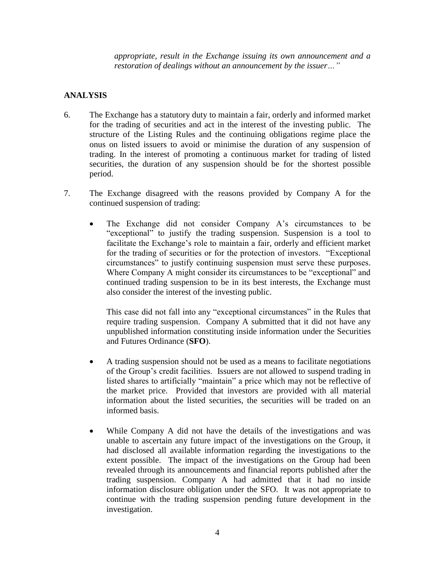*appropriate, result in the Exchange issuing its own announcement and a restoration of dealings without an announcement by the issuer…"*

### **ANALYSIS**

- 6. The Exchange has a statutory duty to maintain a fair, orderly and informed market for the trading of securities and act in the interest of the investing public. The structure of the Listing Rules and the continuing obligations regime place the onus on listed issuers to avoid or minimise the duration of any suspension of trading. In the interest of promoting a continuous market for trading of listed securities, the duration of any suspension should be for the shortest possible period.
- 7. The Exchange disagreed with the reasons provided by Company A for the continued suspension of trading:
	- The Exchange did not consider Company A's circumstances to be "exceptional" to justify the trading suspension. Suspension is a tool to facilitate the Exchange's role to maintain a fair, orderly and efficient market for the trading of securities or for the protection of investors. "Exceptional circumstances" to justify continuing suspension must serve these purposes. Where Company A might consider its circumstances to be "exceptional" and continued trading suspension to be in its best interests, the Exchange must also consider the interest of the investing public.

This case did not fall into any "exceptional circumstances" in the Rules that require trading suspension. Company A submitted that it did not have any unpublished information constituting inside information under the Securities and Futures Ordinance (**SFO**).

- A trading suspension should not be used as a means to facilitate negotiations of the Group's credit facilities. Issuers are not allowed to suspend trading in listed shares to artificially "maintain" a price which may not be reflective of the market price. Provided that investors are provided with all material information about the listed securities, the securities will be traded on an informed basis.
- While Company A did not have the details of the investigations and was unable to ascertain any future impact of the investigations on the Group, it had disclosed all available information regarding the investigations to the extent possible. The impact of the investigations on the Group had been revealed through its announcements and financial reports published after the trading suspension. Company A had admitted that it had no inside information disclosure obligation under the SFO. It was not appropriate to continue with the trading suspension pending future development in the investigation.